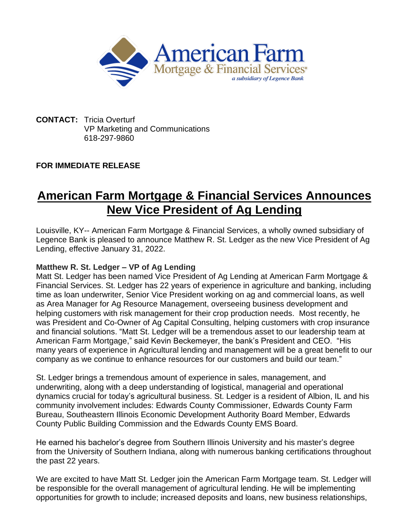

**CONTACT:** Tricia Overturf VP Marketing and Communications 618-297-9860

## **FOR IMMEDIATE RELEASE**

## **American Farm Mortgage & Financial Services Announces New Vice President of Ag Lending**

Louisville, KY-- American Farm Mortgage & Financial Services, a wholly owned subsidiary of Legence Bank is pleased to announce Matthew R. St. Ledger as the new Vice President of Ag Lending, effective January 31, 2022.

## **Matthew R. St. Ledger – VP of Ag Lending**

Matt St. Ledger has been named Vice President of Ag Lending at American Farm Mortgage & Financial Services. St. Ledger has 22 years of experience in agriculture and banking, including time as loan underwriter, Senior Vice President working on ag and commercial loans, as well as Area Manager for Ag Resource Management, overseeing business development and helping customers with risk management for their crop production needs. Most recently, he was President and Co-Owner of Ag Capital Consulting, helping customers with crop insurance and financial solutions. "Matt St. Ledger will be a tremendous asset to our leadership team at American Farm Mortgage," said Kevin Beckemeyer, the bank's President and CEO. "His many years of experience in Agricultural lending and management will be a great benefit to our company as we continue to enhance resources for our customers and build our team."

St. Ledger brings a tremendous amount of experience in sales, management, and underwriting, along with a deep understanding of logistical, managerial and operational dynamics crucial for today's agricultural business. St. Ledger is a resident of Albion, IL and his community involvement includes: Edwards County Commissioner, Edwards County Farm Bureau, Southeastern Illinois Economic Development Authority Board Member, Edwards County Public Building Commission and the Edwards County EMS Board.

He earned his bachelor's degree from Southern Illinois University and his master's degree from the University of Southern Indiana, along with numerous banking certifications throughout the past 22 years.

We are excited to have Matt St. Ledger join the American Farm Mortgage team. St. Ledger will be responsible for the overall management of agricultural lending. He will be implementing opportunities for growth to include; increased deposits and loans, new business relationships,